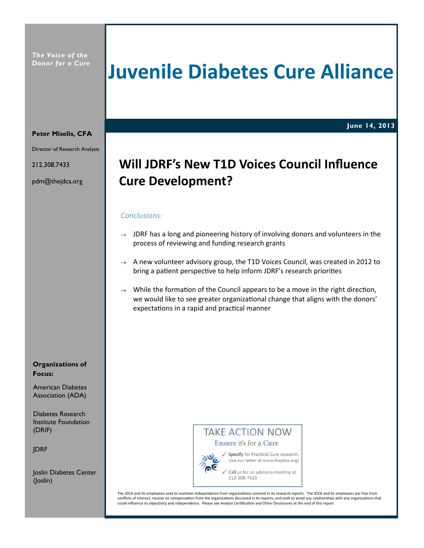# Juvenile Diabetes Cure Alliance

June 14, 2013

#### Peter Miselis, CFA

Director of Research Analysis

212.308.7433

pdm@thejdca.org

# Will JDRF's New T1D Voices Council Influence Cure Development?

#### Conclusions:

- $\rightarrow$  JDRF has a long and pioneering history of involving donors and volunteers in the process of reviewing and funding research grants
- $\rightarrow$  A new volunteer advisory group, the T1D Voices Council, was created in 2012 to bring a patient perspective to help inform JDRF's research priorities
- $\rightarrow$  While the formation of the Council appears to be a move in the right direction, we would like to see greater organizational change that aligns with the donors' expectations in a rapid and practical manner

#### Organizations of Focus:

American Diabetes Association (ADA)

Diabetes Research Institute Foundation (DRIF)

JDRF

Joslin Diabetes Center (Joslin)

## **TAKE ACTION NOW** Ensure it's for a Cure



√ Specify for Practical Cure research. Use our letter at www.thejdca.org/

Call us for an advisory meeting at 212-308-7433

The JDCA and its employees seek to maintain independence from organizations covered in its research reports. The JDCA and its employees are free from conflicts of interest, receive no compensation from the organizations discussed in its reports, and seek to avoid any relationships with any organizations that could influence its objectivity and independence. Please see Analyst Certification and Other Disclosures at the end of this report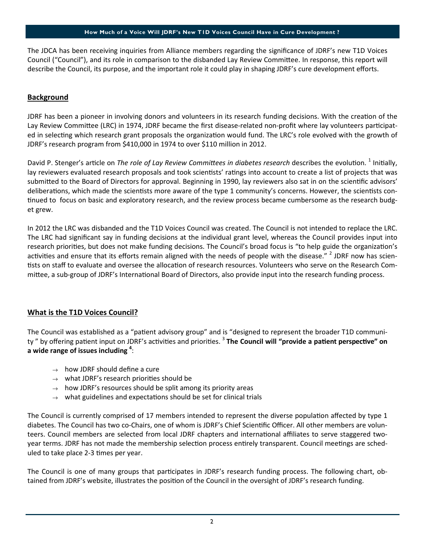#### How Much of a Voice Will JDRF's New T1D Voices Council Have in Cure Development ?

The JDCA has been receiving inquiries from Alliance members regarding the significance of JDRF's new T1D Voices Council ("Council"), and its role in comparison to the disbanded Lay Review Committee. In response, this report will describe the Council, its purpose, and the important role it could play in shaping JDRF's cure development efforts.

#### **Background**

JDRF has been a pioneer in involving donors and volunteers in its research funding decisions. With the creation of the Lay Review Committee (LRC) in 1974, JDRF became the first disease-related non-profit where lay volunteers participated in selecting which research grant proposals the organization would fund. The LRC's role evolved with the growth of JDRF's research program from \$410,000 in 1974 to over \$110 million in 2012.

David P. Stenger's article on The role of Lay Review Committees in diabetes research describes the evolution. <sup>1</sup> Initially, lay reviewers evaluated research proposals and took scientists' ratings into account to create a list of projects that was submitted to the Board of Directors for approval. Beginning in 1990, lay reviewers also sat in on the scientific advisors' deliberations, which made the scientists more aware of the type 1 community's concerns. However, the scientists continued to focus on basic and exploratory research, and the review process became cumbersome as the research budget grew.

In 2012 the LRC was disbanded and the T1D Voices Council was created. The Council is not intended to replace the LRC. The LRC had significant say in funding decisions at the individual grant level, whereas the Council provides input into research priorities, but does not make funding decisions. The Council's broad focus is "to help guide the organization's activities and ensure that its efforts remain aligned with the needs of people with the disease." <sup>2</sup> JDRF now has scientists on staff to evaluate and oversee the allocation of research resources. Volunteers who serve on the Research Committee, a sub-group of JDRF's International Board of Directors, also provide input into the research funding process.

#### What is the T1D Voices Council?

The Council was established as a "patient advisory group" and is "designed to represent the broader T1D community " by offering patient input on JDRF's activities and priorities. <sup>3</sup> The Council will "provide a patient perspective" on a wide range of issues including  $4$ :

- $\rightarrow$  how JDRF should define a cure
- $\rightarrow$  what JDRF's research priorities should be
- $\rightarrow$  how JDRF's resources should be split among its priority areas
- $\rightarrow$  what guidelines and expectations should be set for clinical trials

The Council is currently comprised of 17 members intended to represent the diverse population affected by type 1 diabetes. The Council has two co-Chairs, one of whom is JDRF's Chief Scientific Officer. All other members are volunteers. Council members are selected from local JDRF chapters and international affiliates to serve staggered twoyear terms. JDRF has not made the membership selection process entirely transparent. Council meetings are scheduled to take place 2-3 times per year.

The Council is one of many groups that participates in JDRF's research funding process. The following chart, obtained from JDRF's website, illustrates the position of the Council in the oversight of JDRF's research funding.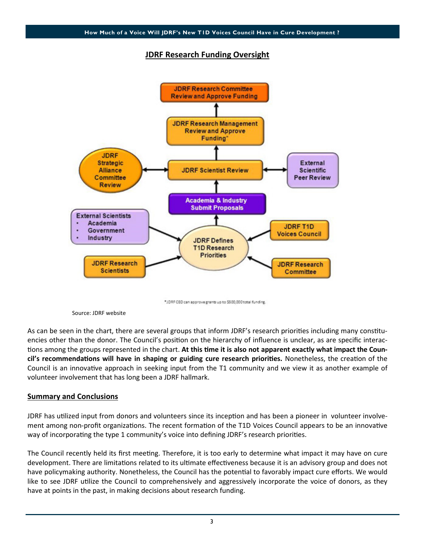### JDRF Research Funding Oversight



Source: JDRF website

As can be seen in the chart, there are several groups that inform JDRF's research priorities including many constituencies other than the donor. The Council's position on the hierarchy of influence is unclear, as are specific interactions among the groups represented in the chart. At this time it is also not apparent exactly what impact the Council's recommendations will have in shaping or guiding cure research priorities. Nonetheless, the creation of the Council is an innovative approach in seeking input from the T1 community and we view it as another example of volunteer involvement that has long been a JDRF hallmark.

#### Summary and Conclusions

JDRF has utilized input from donors and volunteers since its inception and has been a pioneer in volunteer involvement among non-profit organizations. The recent formation of the T1D Voices Council appears to be an innovative way of incorporating the type 1 community's voice into defining JDRF's research priorities.

The Council recently held its first meeting. Therefore, it is too early to determine what impact it may have on cure development. There are limitations related to its ultimate effectiveness because it is an advisory group and does not have policymaking authority. Nonetheless, the Council has the potential to favorably impact cure efforts. We would like to see JDRF utilize the Council to comprehensively and aggressively incorporate the voice of donors, as they have at points in the past, in making decisions about research funding.